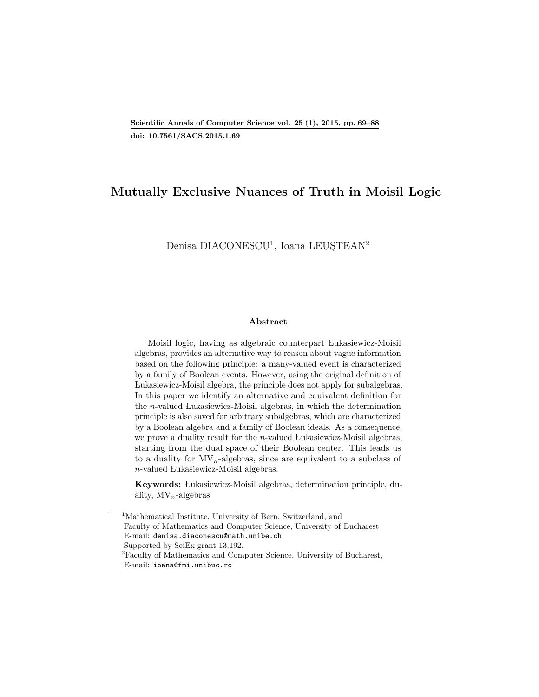# Mutually Exclusive Nuances of Truth in Moisil Logic

Denisa DIACONESCU<sup>[1](#page-0-0)</sup>, Ioana LEUŞTEAN<sup>[2](#page-0-1)</sup>

#### Abstract

Moisil logic, having as algebraic counterpart Lukasiewicz-Moisil algebras, provides an alternative way to reason about vague information based on the following principle: a many-valued event is characterized by a family of Boolean events. However, using the original definition of Lukasiewicz-Moisil algebra, the principle does not apply for subalgebras. In this paper we identify an alternative and equivalent definition for the n-valued Lukasiewicz-Moisil algebras, in which the determination principle is also saved for arbitrary subalgebras, which are characterized by a Boolean algebra and a family of Boolean ideals. As a consequence, we prove a duality result for the  $n$ -valued Lukasiewicz-Moisil algebras, starting from the dual space of their Boolean center. This leads us to a duality for  $MV_n$ -algebras, since are equivalent to a subclass of n-valued Lukasiewicz-Moisil algebras.

Keywords: Lukasiewicz-Moisil algebras, determination principle, duality,  $MV_n$ -algebras

<span id="page-0-0"></span><sup>&</sup>lt;sup>1</sup>Mathematical Institute, University of Bern, Switzerland, and Faculty of Mathematics and Computer Science, University of Bucharest E-mail: denisa.diaconescu@math.unibe.ch Supported by SciEx grant 13.192.

<span id="page-0-1"></span><sup>&</sup>lt;sup>2</sup>Faculty of Mathematics and Computer Science, University of Bucharest, E-mail: ioana@fmi.unibuc.ro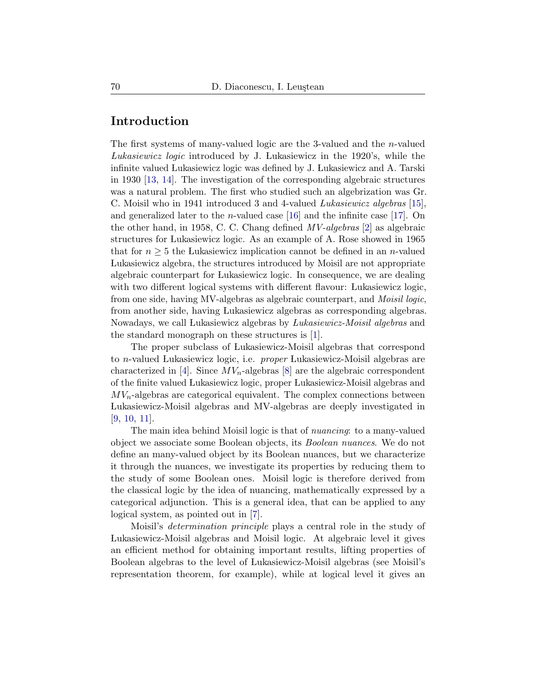## Introduction

The first systems of many-valued logic are the 3-valued and the n-valued Lukasiewicz logic introduced by J. Lukasiewicz in the 1920's, while the infinite valued Lukasiewicz logic was defined by J. Lukasiewicz and A. Tarski in 1930 [\[13,](#page-19-2) [14\]](#page-19-3). The investigation of the corresponding algebraic structures was a natural problem. The first who studied such an algebrization was Gr. C. Moisil who in 1941 introduced 3 and 4-valued Lukasiewicz algebras [\[15\]](#page-19-4), and generalized later to the *n*-valued case [\[16\]](#page-19-5) and the infinite case [\[17\]](#page-19-6). On the other hand, in 1958, C. C. Chang defined MV-algebras [\[2\]](#page-18-0) as algebraic structures for Lukasiewicz logic. As an example of A. Rose showed in 1965 that for  $n \geq 5$  the Lukasiewicz implication cannot be defined in an *n*-valued Lukasiewicz algebra, the structures introduced by Moisil are not appropriate algebraic counterpart for Lukasiewicz logic. In consequence, we are dealing with two different logical systems with different flavour: Lukasiewicz logic, from one side, having MV-algebras as algebraic counterpart, and Moisil logic, from another side, having Lukasiewicz algebras as corresponding algebras. Nowadays, we call Lukasiewicz algebras by Lukasiewicz-Moisil algebras and the standard monograph on these structures is [\[1\]](#page-18-1).

The proper subclass of Lukasiewicz-Moisil algebras that correspond to n-valued Lukasiewicz logic, i.e. proper Lukasiewicz-Moisil algebras are characterized in [\[4\]](#page-18-2). Since  $MV_n$ -algebras [\[8\]](#page-18-3) are the algebraic correspondent of the finite valued Lukasiewicz logic, proper Lukasiewicz-Moisil algebras and  $MV_n$ -algebras are categorical equivalent. The complex connections between Lukasiewicz-Moisil algebras and MV-algebras are deeply investigated in [\[9,](#page-18-4) [10,](#page-19-7) [11\]](#page-19-8).

The main idea behind Moisil logic is that of *nuancing*: to a many-valued object we associate some Boolean objects, its Boolean nuances. We do not define an many-valued object by its Boolean nuances, but we characterize it through the nuances, we investigate its properties by reducing them to the study of some Boolean ones. Moisil logic is therefore derived from the classical logic by the idea of nuancing, mathematically expressed by a categorical adjunction. This is a general idea, that can be applied to any logical system, as pointed out in [\[7\]](#page-18-5).

Moisil's determination principle plays a central role in the study of Lukasiewicz-Moisil algebras and Moisil logic. At algebraic level it gives an efficient method for obtaining important results, lifting properties of Boolean algebras to the level of Lukasiewicz-Moisil algebras (see Moisil's representation theorem, for example), while at logical level it gives an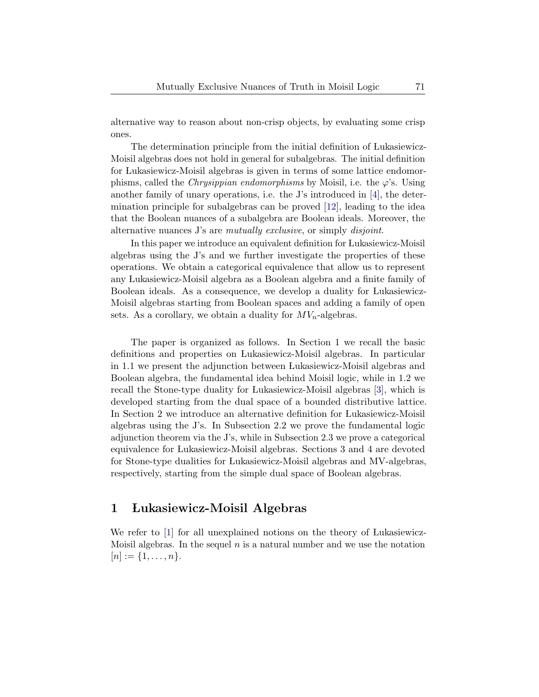alternative way to reason about non-crisp objects, by evaluating some crisp ones.

The determination principle from the initial definition of Lukasiewicz-Moisil algebras does not hold in general for subalgebras. The initial definition for Lukasiewicz-Moisil algebras is given in terms of some lattice endomorphisms, called the *Chrysippian endomorphisms* by Moisil, i.e. the  $\varphi$ 's. Using another family of unary operations, i.e. the J's introduced in [\[4\]](#page-18-2), the determination principle for subalgebras can be proved [\[12\]](#page-19-9), leading to the idea that the Boolean nuances of a subalgebra are Boolean ideals. Moreover, the alternative nuances J's are *mutually exclusive*, or simply *disjoint*.

In this paper we introduce an equivalent definition for Lukasiewicz-Moisil algebras using the J's and we further investigate the properties of these operations. We obtain a categorical equivalence that allow us to represent any Lukasiewicz-Moisil algebra as a Boolean algebra and a finite family of Boolean ideals. As a consequence, we develop a duality for Lukasiewicz-Moisil algebras starting from Boolean spaces and adding a family of open sets. As a corollary, we obtain a duality for  $MV_n$ -algebras.

The paper is organized as follows. In Section [1](#page-2-0) we recall the basic definitions and properties on Lukasiewicz-Moisil algebras. In particular in [1.1](#page-5-0) we present the adjunction between Lukasiewicz-Moisil algebras and Boolean algebra, the fundamental idea behind Moisil logic, while in [1.2](#page-6-0) we recall the Stone-type duality for Lukasiewicz-Moisil algebras [\[3\]](#page-18-6), which is developed starting from the dual space of a bounded distributive lattice. In Section [2](#page-7-0) we introduce an alternative definition for Lukasiewicz-Moisil algebras using the J's. In Subsection [2.2](#page-11-0) we prove the fundamental logic adjunction theorem via the J's, while in Subsection [2.3](#page-12-0) we prove a categorical equivalence for Lukasiewicz-Moisil algebras. Sections [3](#page-13-0) and [4](#page-15-0) are devoted for Stone-type dualities for Lukasiewicz-Moisil algebras and MV-algebras, respectively, starting from the simple dual space of Boolean algebras.

# <span id="page-2-0"></span>1 Lukasiewicz-Moisil Algebras

<span id="page-2-1"></span>We refer to [\[1\]](#page-18-1) for all unexplained notions on the theory of Lukasiewicz-Moisil algebras. In the sequel  $n$  is a natural number and we use the notation  $[n] := \{1, \ldots, n\}.$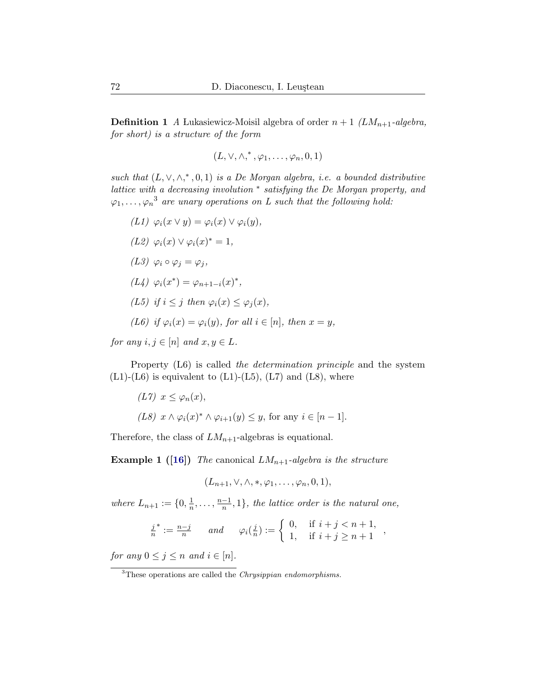**Definition 1** A Lukasiewicz-Moisil algebra of order  $n + 1$  (LM<sub>n+1</sub>-algebra, for short) is a structure of the form

$$
(L, \vee, \wedge, ^*, \varphi_1, \ldots, \varphi_n, 0, 1)
$$

such that  $(L, \vee, \wedge,^*, 0, 1)$  is a De Morgan algebra, i.e. a bounded distributive lattice with a decreasing involution <sup>∗</sup> satisfying the De Morgan property, and  $\varphi_1,\ldots,\varphi_n{}^3$  $\varphi_1,\ldots,\varphi_n{}^3$  are unary operations on L such that the following hold:

$$
(L1) \varphi_i(x \vee y) = \varphi_i(x) \vee \varphi_i(y),
$$
  
\n
$$
(L2) \varphi_i(x) \vee \varphi_i(x)^* = 1,
$$
  
\n
$$
(L3) \varphi_i \circ \varphi_j = \varphi_j,
$$
  
\n
$$
(L4) \varphi_i(x^*) = \varphi_{n+1-i}(x)^*,
$$
  
\n
$$
(L5) \text{ if } i \leq j \text{ then } \varphi_i(x) \leq \varphi_j(x),
$$
  
\n
$$
(L6) \text{ if } \varphi_i(x) = \varphi_i(y), \text{ for all } i \in [n], \text{ then } x = y,
$$

for any  $i, j \in [n]$  and  $x, y \in L$ .

Property (L6) is called the determination principle and the system  $(L1)-(L6)$  is equivalent to  $(L1)-(L5)$ ,  $(L7)$  and  $(L8)$ , where

$$
(L7) \ x \le \varphi_n(x),
$$
  

$$
(L8) \ x \wedge \varphi_i(x)^* \wedge \varphi_{i+1}(y) \le y, \text{ for any } i \in [n-1].
$$

Therefore, the class of  $LM_{n+1}$ -algebras is equational.

**Example 1** ([\[16\]](#page-19-5)) The canonical  $LM_{n+1}$ -algebra is the structure

$$
(L_{n+1}, \vee, \wedge, *, \varphi_1, \ldots, \varphi_n, 0, 1),
$$

where  $L_{n+1} := \{0, \frac{1}{n}\}$  $\frac{1}{n}, \ldots, \frac{n-1}{n}$  $\frac{-1}{n}, 1$ , the lattice order is the natural one,

$$
\frac{j}{n}^* := \frac{n-j}{n} \quad and \quad \varphi_i(\frac{j}{n}) := \begin{cases} 0, & \text{if } i+j < n+1, \\ 1, & \text{if } i+j \ge n+1 \end{cases}
$$

for any  $0 \leq j \leq n$  and  $i \in [n]$ .

<span id="page-3-0"></span> $\overline{3}$ These operations are called the *Chrysippian endomorphisms*.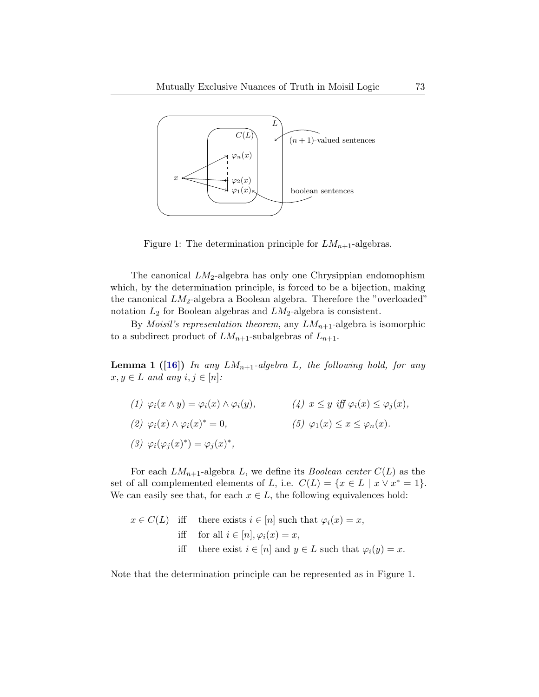

<span id="page-4-0"></span>Figure 1: The determination principle for  $LM_{n+1}$ -algebras.

The canonical  $LM_2$ -algebra has only one Chrysippian endomophism which, by the determination principle, is forced to be a bijection, making the canonical  $LM_2$ -algebra a Boolean algebra. Therefore the "overloaded" notation  $L_2$  for Boolean algebras and  $LM_2$ -algebra is consistent.

By *Moisil's representation theorem*, any  $LM_{n+1}$ -algebra is isomorphic to a subdirect product of  $LM_{n+1}$ -subalgebras of  $L_{n+1}$ .

**Lemma 1** ([\[16\]](#page-19-5)) In any  $LM_{n+1}$ -algebra L, the following hold, for any  $x, y \in L$  and any  $i, j \in [n]$ :

(1)  $\varphi_i(x \wedge y) = \varphi_i(x) \wedge \varphi_i(y),$  <br> (4)  $x \leq y$  iff  $\varphi_i(x) \leq \varphi_j(x),$ (2)  $\varphi_i(x) \wedge \varphi_i(x)^* = 0,$  (5)  $\varphi_1(x) \le x \le \varphi_n(x).$ (3)  $\varphi_i(\varphi_j(x)^*) = \varphi_j(x)^*,$ 

For each  $LM_{n+1}$ -algebra L, we define its *Boolean center*  $C(L)$  as the set of all complemented elements of L, i.e.  $C(L) = \{x \in L \mid x \vee x^* = 1\}.$ We can easily see that, for each  $x \in L$ , the following equivalences hold:

$$
x \in C(L) \quad \text{iff} \quad \text{there exists } i \in [n] \text{ such that } \varphi_i(x) = x,
$$
\n
$$
\text{iff} \quad \text{for all } i \in [n], \varphi_i(x) = x,
$$
\n
$$
\text{iff} \quad \text{there exist } i \in [n] \text{ and } y \in L \text{ such that } \varphi_i(y) = x.
$$

Note that the determination principle can be represented as in Figure [1.](#page-4-0)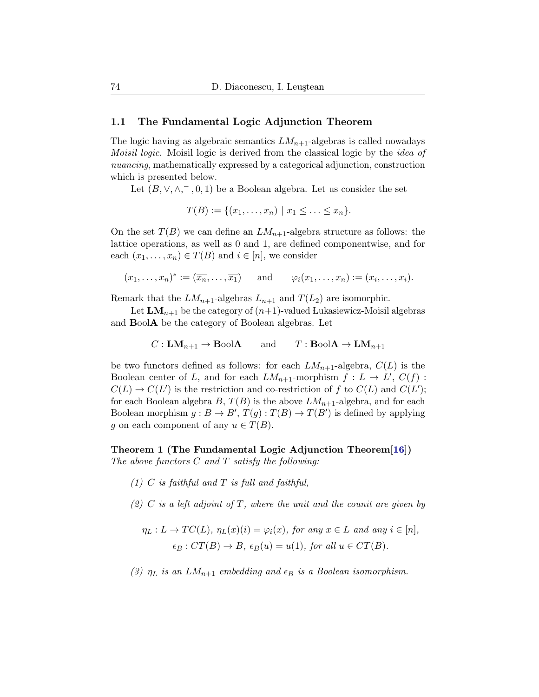#### <span id="page-5-0"></span>1.1 The Fundamental Logic Adjunction Theorem

The logic having as algebraic semantics  $LM_{n+1}$ -algebras is called nowadays Moisil logic. Moisil logic is derived from the classical logic by the idea of nuancing, mathematically expressed by a categorical adjunction, construction which is presented below.

Let  $(B, \vee, \wedge, ^-, 0, 1)$  be a Boolean algebra. Let us consider the set

$$
T(B) := \{ (x_1, \ldots, x_n) \mid x_1 \leq \ldots \leq x_n \}.
$$

On the set  $T(B)$  we can define an  $LM_{n+1}$ -algebra structure as follows: the lattice operations, as well as 0 and 1, are defined componentwise, and for each  $(x_1, \ldots, x_n) \in T(B)$  and  $i \in [n]$ , we consider

$$
(x_1,\ldots,x_n)^* := (\overline{x_n},\ldots,\overline{x_1})
$$
 and  $\varphi_i(x_1,\ldots,x_n) := (x_i,\ldots,x_i).$ 

Remark that the  $LM_{n+1}$ -algebras  $L_{n+1}$  and  $T(L_2)$  are isomorphic.

Let  $LM_{n+1}$  be the category of  $(n+1)$ -valued Lukasiewicz-Moisil algebras and BoolA be the category of Boolean algebras. Let

$$
C: LM_{n+1} \to \text{BoolA}
$$
 and  $T: \text{BoolA} \to LM_{n+1}$ 

be two functors defined as follows: for each  $LM_{n+1}$ -algebra,  $C(L)$  is the Boolean center of L, and for each  $LM_{n+1}$ -morphism  $f: L \to L', C(f)$ :  $C(L) \rightarrow C(L')$  is the restriction and co-restriction of f to  $C(L)$  and  $C(L')$ ; for each Boolean algebra B,  $T(B)$  is the above  $LM_{n+1}$ -algebra, and for each Boolean morphism  $g : B \to B', T(g) : T(B) \to T(B')$  is defined by applying g on each component of any  $u \in T(B)$ .

<span id="page-5-1"></span>Theorem 1 (The Fundamental Logic Adjunction Theorem[\[16\]](#page-19-5)) The above functors  $C$  and  $T$  satisfy the following:

- $(1)$  C is faithful and T is full and faithful,
- (2) C is a left adjoint of T, where the unit and the counit are given by

$$
\eta_L: L \to TC(L), \eta_L(x)(i) = \varphi_i(x), \text{ for any } x \in L \text{ and any } i \in [n],
$$
  

$$
\epsilon_B: CT(B) \to B, \epsilon_B(u) = u(1), \text{ for all } u \in CT(B).
$$

(3)  $\eta_L$  is an  $LM_{n+1}$  embedding and  $\epsilon_B$  is a Boolean isomorphism.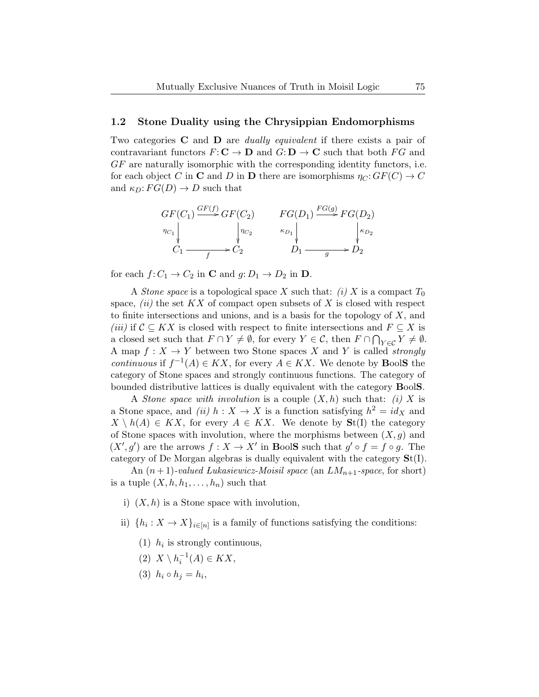#### <span id="page-6-0"></span>1.2 Stone Duality using the Chrysippian Endomorphisms

Two categories **C** and **D** are *dually equivalent* if there exists a pair of contravariant functors  $F: \mathbf{C} \to \mathbf{D}$  and  $G: \mathbf{D} \to \mathbf{C}$  such that both  $FG$  and GF are naturally isomorphic with the corresponding identity functors, i.e. for each object C in C and D in D there are isomorphisms  $\eta_C: GF(C) \to C$ and  $\kappa_D: FG(D) \to D$  such that



for each  $f: C_1 \to C_2$  in **C** and  $g: D_1 \to D_2$  in **D**.

A *Stone space* is a topological space X such that: (i) X is a compact  $T_0$ space,  $(ii)$  the set  $KX$  of compact open subsets of X is closed with respect to finite intersections and unions, and is a basis for the topology of  $X$ , and (iii) if  $C \subseteq KX$  is closed with respect to finite intersections and  $F \subseteq X$  is a closed set such that  $F \cap Y \neq \emptyset$ , for every  $Y \in \mathcal{C}$ , then  $F \cap \bigcap_{Y \in \mathcal{C}} Y \neq \emptyset$ . A map  $f: X \to Y$  between two Stone spaces X and Y is called *strongly continuous* if  $f^{-1}(A) \in KX$ , for every  $A \in KX$ . We denote by **BoolS** the category of Stone spaces and strongly continuous functions. The category of bounded distributive lattices is dually equivalent with the category BoolS.

A Stone space with involution is a couple  $(X, h)$  such that: (i) X is a Stone space, and (ii)  $h: X \to X$  is a function satisfying  $h^2 = id_X$  and  $X \setminus h(A) \in KX$ , for every  $A \in KX$ . We denote by  $\mathbf{St}(I)$  the category of Stone spaces with involution, where the morphisms between  $(X, g)$  and  $(X', g')$  are the arrows  $f : X \to X'$  in BoolS such that  $g' \circ f = f \circ g$ . The category of De Morgan algebras is dually equivalent with the category St(I).

An  $(n+1)$ -valued Lukasiewicz-Moisil space (an  $LM_{n+1}$ -space, for short) is a tuple  $(X, h, h_1, \ldots, h_n)$  such that

- i)  $(X, h)$  is a Stone space with involution,
- ii)  $\{h_i: X \to X\}_{i \in [n]}$  is a family of functions satisfying the conditions:
	- (1)  $h_i$  is strongly continuous,
	- (2)  $X \setminus h_i^{-1}(A) \in KX$ ,
	- (3)  $h_i \circ h_j = h_i$ ,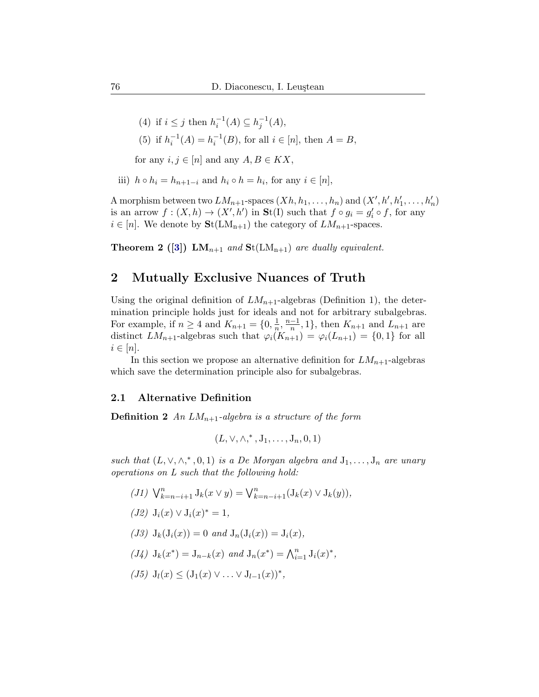- (4) if  $i \leq j$  then  $h_i^{-1}(A) \subseteq h_j^{-1}(A)$ ,
- (5) if  $h_i^{-1}(A) = h_i^{-1}(B)$ , for all  $i \in [n]$ , then  $A = B$ ,

for any  $i, j \in [n]$  and any  $A, B \in KX$ ,

iii)  $h \circ h_i = h_{n+1-i}$  and  $h_i \circ h = h_i$ , for any  $i \in [n]$ ,

A morphism between two  $LM_{n+1}$ -spaces  $(Xh, h_1, \ldots, h_n)$  and  $(X', h', h'_1, \ldots, h'_n)$ is an arrow  $f: (X,h) \to (X',h')$  in  $\mathbf{St}(I)$  such that  $f \circ g_i = g'_i \circ f$ , for any  $i \in [n]$ . We denote by  $\text{St}(LM_{n+1})$  the category of  $LM_{n+1}$ -spaces.

**Theorem 2** ([\[3\]](#page-18-6))  $LM_{n+1}$  and  $St(LM_{n+1})$  are dually equivalent.

### <span id="page-7-0"></span>2 Mutually Exclusive Nuances of Truth

Using the original definition of  $LM_{n+1}$ -algebras (Definition [1\)](#page-2-1), the determination principle holds just for ideals and not for arbitrary subalgebras. For example, if  $n \geq 4$  and  $K_{n+1} = \{0, \frac{1}{n}\}$  $\frac{1}{n}, \frac{n-1}{n}$  $\frac{-1}{n}$ , 1, then  $K_{n+1}$  and  $L_{n+1}$  are distinct  $LM_{n+1}$ -algebras such that  $\varphi_i(K_{n+1}) = \varphi_i(L_{n+1}) = \{0,1\}$  for all  $i \in [n]$ .

In this section we propose an alternative definition for  $LM_{n+1}$ -algebras which save the determination principle also for subalgebras.

#### 2.1 Alternative Definition

<span id="page-7-1"></span>**Definition 2** An  $LM_{n+1}$ -algebra is a structure of the form

$$
(L, \vee, \wedge, ^*, J_1, \ldots, J_n, 0, 1)
$$

such that  $(L, \vee, \wedge,^*, 0, 1)$  is a De Morgan algebra and  $J_1, \ldots, J_n$  are unary operations on L such that the following hold:

(J1)  $\bigvee_{k=n-i+1}^{n} J_k(x \vee y) = \bigvee_{k=n-i+1}^{n} (J_k(x) \vee J_k(y)),$ (*J2*)  $J_i(x) \vee J_i(x)^* = 1$ , (J3)  $J_k(J_i(x)) = 0$  and  $J_n(J_i(x)) = J_i(x)$ , (*J4*)  $J_k(x^*) = J_{n-k}(x)$  and  $J_n(x^*) = \bigwedge_{i=1}^n J_i(x)^*$ , (J5)  $J_l(x) \leq (J_1(x) \vee \ldots \vee J_{l-1}(x))^*$ ,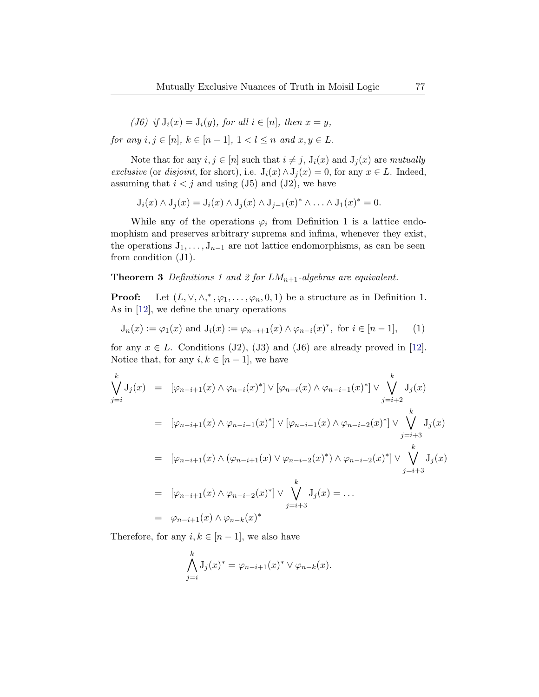(J6) if  $J_i(x) = J_i(y)$ , for all  $i \in [n]$ , then  $x = y$ ,

for any  $i, j \in [n], k \in [n-1], 1 < l \leq n$  and  $x, y \in L$ .

Note that for any  $i, j \in [n]$  such that  $i \neq j$ ,  $J_i(x)$  and  $J_j(x)$  are mutually exclusive (or disjoint, for short), i.e.  $J_i(x) \wedge J_j(x) = 0$ , for any  $x \in L$ . Indeed, assuming that  $i < j$  and using (J5) and (J2), we have

$$
J_i(x) \wedge J_j(x) = J_i(x) \wedge J_j(x) \wedge J_{j-1}(x)^* \wedge \ldots \wedge J_1(x)^* = 0.
$$

While any of the operations  $\varphi_i$  from Definition [1](#page-2-1) is a lattice endomophism and preserves arbitrary suprema and infima, whenever they exist, the operations  $J_1, \ldots, J_{n-1}$  are not lattice endomorphisms, as can be seen from condition (J1).

**Theorem 3** Definitions [1](#page-2-1) and [2](#page-7-1) for  $LM_{n+1}$ -algebras are equivalent.

**Proof:** Let  $(L, \vee, \wedge,^*, \varphi_1, \ldots, \varphi_n, 0, 1)$  be a structure as in Definition [1.](#page-2-1) As in [\[12\]](#page-19-9), we define the unary operations

<span id="page-8-0"></span>
$$
J_n(x) := \varphi_1(x) \text{ and } J_i(x) := \varphi_{n-i+1}(x) \wedge \varphi_{n-i}(x)^*, \text{ for } i \in [n-1], \qquad (1)
$$

for any  $x \in L$ . Conditions (J2), (J3) and (J6) are already proved in [\[12\]](#page-19-9). Notice that, for any  $i, k \in [n-1]$ , we have

$$
\begin{split}\n\bigvee_{j=i}^{k} J_{j}(x) &= \left[ \varphi_{n-i+1}(x) \wedge \varphi_{n-i}(x)^{*} \right] \vee \left[ \varphi_{n-i}(x) \wedge \varphi_{n-i-1}(x)^{*} \right] \vee \bigvee_{j=i+2}^{k} J_{j}(x) \\
&= \left[ \varphi_{n-i+1}(x) \wedge \varphi_{n-i-1}(x)^{*} \right] \vee \left[ \varphi_{n-i-1}(x) \wedge \varphi_{n-i-2}(x)^{*} \right] \vee \bigvee_{j=i+3}^{k} J_{j}(x) \\
&= \left[ \varphi_{n-i+1}(x) \wedge (\varphi_{n-i+1}(x) \vee \varphi_{n-i-2}(x)^{*}) \wedge \varphi_{n-i-2}(x)^{*} \right] \vee \bigvee_{j=i+3}^{k} J_{j}(x) \\
&= \left[ \varphi_{n-i+1}(x) \wedge \varphi_{n-i-2}(x)^{*} \right] \vee \bigvee_{j=i+3}^{k} J_{j}(x) = \dots \\
&= \varphi_{n-i+1}(x) \wedge \varphi_{n-k}(x)^{*}\n\end{split}
$$

Therefore, for any  $i, k \in [n-1]$ , we also have

$$
\bigwedge_{j=i}^k \mathrm{J}_j(x)^* = \varphi_{n-i+1}(x)^* \vee \varphi_{n-k}(x).
$$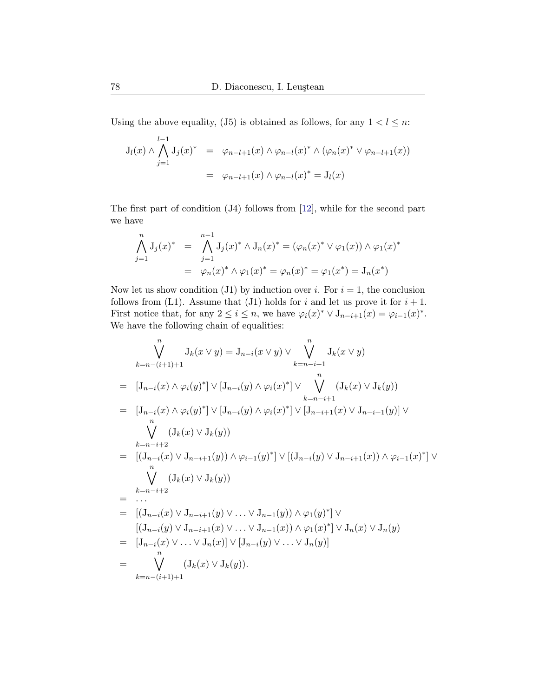Using the above equality, (J5) is obtained as follows, for any  $1 < l \leq n$ :

$$
J_{l}(x) \wedge \bigwedge_{j=1}^{l-1} J_{j}(x)^{*} = \varphi_{n-l+1}(x) \wedge \varphi_{n-l}(x)^{*} \wedge (\varphi_{n}(x)^{*} \vee \varphi_{n-l+1}(x))
$$
  
=  $\varphi_{n-l+1}(x) \wedge \varphi_{n-l}(x)^{*} = J_{l}(x)$ 

The first part of condition (J4) follows from [\[12\]](#page-19-9), while for the second part we have

$$
\bigwedge_{j=1}^{n} J_j(x)^* = \bigwedge_{j=1}^{n-1} J_j(x)^* \wedge J_n(x)^* = (\varphi_n(x)^* \vee \varphi_1(x)) \wedge \varphi_1(x)^*
$$

$$
= \varphi_n(x)^* \wedge \varphi_1(x)^* = \varphi_n(x)^* = \varphi_1(x^*) = J_n(x^*)
$$

Now let us show condition (J1) by induction over *i*. For  $i = 1$ , the conclusion follows from (L1). Assume that (J1) holds for i and let us prove it for  $i + 1$ . First notice that, for any  $2 \leq i \leq n$ , we have  $\varphi_i(x)^* \vee J_{n-i+1}(x) = \varphi_{i-1}(x)^*$ . We have the following chain of equalities:

$$
\bigvee_{k=n-(i+1)+1}^{n} J_{k}(x \vee y) = J_{n-i}(x \vee y) \vee \bigvee_{k=n-i+1}^{n} J_{k}(x \vee y)
$$
\n
$$
= [J_{n-i}(x) \wedge \varphi_{i}(y)^{*}] \vee [J_{n-i}(y) \wedge \varphi_{i}(x)^{*}] \vee \bigvee_{k=n-i+1}^{n} (J_{k}(x) \vee J_{k}(y))
$$
\n
$$
= [J_{n-i}(x) \wedge \varphi_{i}(y)^{*}] \vee [J_{n-i}(y) \wedge \varphi_{i}(x)^{*}] \vee [J_{n-i+1}(x) \vee J_{n-i+1}(y)] \vee
$$
\n
$$
\bigvee_{k=n-i+2}^{n} (J_{k}(x) \vee J_{k}(y))
$$
\n
$$
= [(J_{n-i}(x) \vee J_{n-i+1}(y)) \wedge \varphi_{i-1}(y)^{*}] \vee [(J_{n-i}(y) \vee J_{n-i+1}(x)) \wedge \varphi_{i-1}(x)^{*}] \vee
$$
\n
$$
\bigvee_{k=n-i+2}^{n} (J_{k}(x) \vee J_{k}(y))
$$
\n
$$
= [(J_{n-i}(x) \vee J_{n-i+1}(y) \vee \dots \vee J_{n-1}(y)) \wedge \varphi_{1}(y)^{*}] \vee
$$
\n
$$
[(J_{n-i}(y) \vee J_{n-i+1}(x) \vee \dots \vee J_{n-1}(x)) \wedge \varphi_{1}(x)^{*}] \vee J_{n}(x) \vee J_{n}(y)
$$
\n
$$
= [J_{n-i}(x) \vee \dots \vee J_{n}(x)] \vee [J_{n-i}(y) \vee \dots \vee J_{n}(y)]
$$
\n
$$
= \bigvee_{k=n-(i+1)+1}^{n} (J_{k}(x) \vee J_{k}(y)).
$$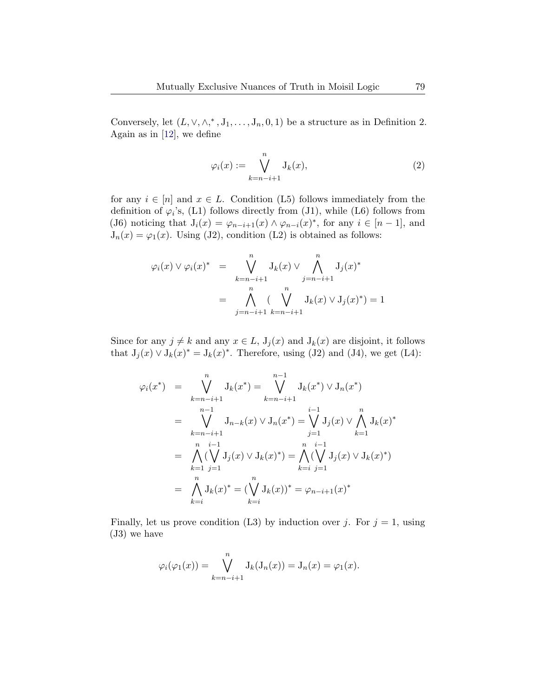Conversely, let  $(L, \vee, \wedge,^*, J_1, \ldots, J_n, 0, 1)$  be a structure as in Definition [2.](#page-7-1) Again as in [\[12\]](#page-19-9), we define

$$
\varphi_i(x) := \bigvee_{k=n-i+1}^n \mathcal{J}_k(x),\tag{2}
$$

for any  $i \in [n]$  and  $x \in L$ . Condition (L5) follows immediately from the definition of  $\varphi_i$ 's, (L1) follows directly from (J1), while (L6) follows from (J6) noticing that  $J_i(x) = \varphi_{n-i+1}(x) \wedge \varphi_{n-i}(x)^*$ , for any  $i \in [n-1]$ , and  $J_n(x) = \varphi_1(x)$ . Using (J2), condition (L2) is obtained as follows:

$$
\varphi_i(x) \vee \varphi_i(x)^* = \bigvee_{k=n-i+1}^n J_k(x) \vee \bigwedge_{j=n-i+1}^n J_j(x)^*
$$
  
= 
$$
\bigwedge_{j=n-i+1}^n (\bigvee_{k=n-i+1}^n J_k(x) \vee J_j(x)^*) = 1
$$

Since for any  $j \neq k$  and any  $x \in L$ ,  $J_j(x)$  and  $J_k(x)$  are disjoint, it follows that  $J_j(x) \vee J_k(x)^* = J_k(x)^*$ . Therefore, using (J2) and (J4), we get (L4):

$$
\varphi_i(x^*) = \bigvee_{k=n-i+1}^{n} J_k(x^*) = \bigvee_{k=n-i+1}^{n-1} J_k(x^*) \vee J_n(x^*)
$$
  
\n
$$
= \bigvee_{k=n-i+1}^{n-1} J_{n-k}(x) \vee J_n(x^*) = \bigvee_{j=1}^{i-1} J_j(x) \vee \bigwedge_{k=1}^{n} J_k(x)^*
$$
  
\n
$$
= \bigwedge_{k=1}^{n} (\bigvee_{j=1}^{i-1} J_j(x) \vee J_k(x)^*) = \bigwedge_{k=i}^{n} (\bigvee_{j=1}^{i-1} J_j(x) \vee J_k(x)^*)
$$
  
\n
$$
= \bigwedge_{k=1}^{n} J_k(x)^* = (\bigvee_{k=i}^{n} J_k(x))^* = \varphi_{n-i+1}(x)^*
$$

Finally, let us prove condition (L3) by induction over j. For  $j = 1$ , using (J3) we have

$$
\varphi_i(\varphi_1(x)) = \bigvee_{k=n-i+1}^n \mathrm{J}_k(\mathrm{J}_n(x)) = \mathrm{J}_n(x) = \varphi_1(x).
$$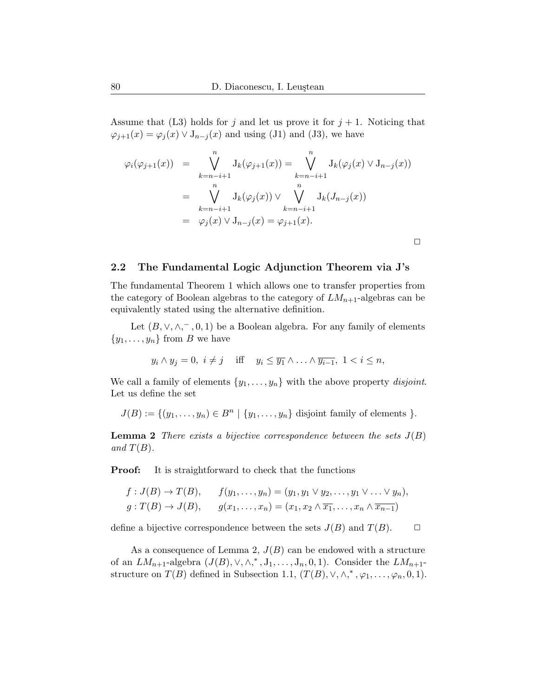Assume that (L3) holds for j and let us prove it for  $j + 1$ . Noticing that  $\varphi_{j+1}(x) = \varphi_j(x) \vee J_{n-j}(x)$  and using (J1) and (J3), we have

$$
\varphi_i(\varphi_{j+1}(x)) = \bigvee_{k=n-i+1}^n J_k(\varphi_{j+1}(x)) = \bigvee_{k=n-i+1}^n J_k(\varphi_j(x) \vee J_{n-j}(x))
$$
  

$$
= \bigvee_{k=n-i+1}^n J_k(\varphi_j(x)) \vee \bigvee_{k=n-i+1}^n J_k(J_{n-j}(x))
$$
  

$$
= \varphi_j(x) \vee J_{n-j}(x) = \varphi_{j+1}(x).
$$

 $\Box$ 

### <span id="page-11-0"></span>2.2 The Fundamental Logic Adjunction Theorem via J's

The fundamental Theorem [1](#page-5-1) which allows one to transfer properties from the category of Boolean algebras to the category of  $LM_{n+1}$ -algebras can be equivalently stated using the alternative definition.

Let  $(B, \vee, \wedge, ^-, 0, 1)$  be a Boolean algebra. For any family of elements  $\{y_1, \ldots, y_n\}$  from B we have

$$
y_i \wedge y_j = 0, \ i \neq j \quad \text{iff} \quad y_i \leq \overline{y_1} \wedge \ldots \wedge \overline{y_{i-1}}, \ 1 < i \leq n,
$$

We call a family of elements  $\{y_1, \ldots, y_n\}$  with the above property disjoint. Let us define the set

 $J(B) := \{(y_1, \ldots, y_n) \in B^n \mid \{y_1, \ldots, y_n\}$  disjoint family of elements  $\}.$ 

<span id="page-11-1"></span>**Lemma 2** There exists a bijective correspondence between the sets  $J(B)$ and  $T(B)$ .

**Proof:** It is straightforward to check that the functions

$$
f: J(B) \to T(B), \qquad f(y_1, \ldots, y_n) = (y_1, y_1 \vee y_2, \ldots, y_1 \vee \ldots \vee y_n),
$$
  

$$
g: T(B) \to J(B), \qquad g(x_1, \ldots, x_n) = (x_1, x_2 \wedge \overline{x_1}, \ldots, x_n \wedge \overline{x_{n-1}})
$$

define a bijective correspondence between the sets  $J(B)$  and  $T(B)$ .  $\Box$ 

As a consequence of Lemma [2,](#page-11-1)  $J(B)$  can be endowed with a structure of an  $LM_{n+1}$ -algebra  $(J(B), \vee, \wedge,^*, J_1, \ldots, J_n, 0, 1)$ . Consider the  $LM_{n+1}$ structure on  $T(B)$  defined in Subsection [1.1,](#page-5-0)  $(T(B), \vee, \wedge,^*, \varphi_1, \ldots, \varphi_n, 0, 1)$ .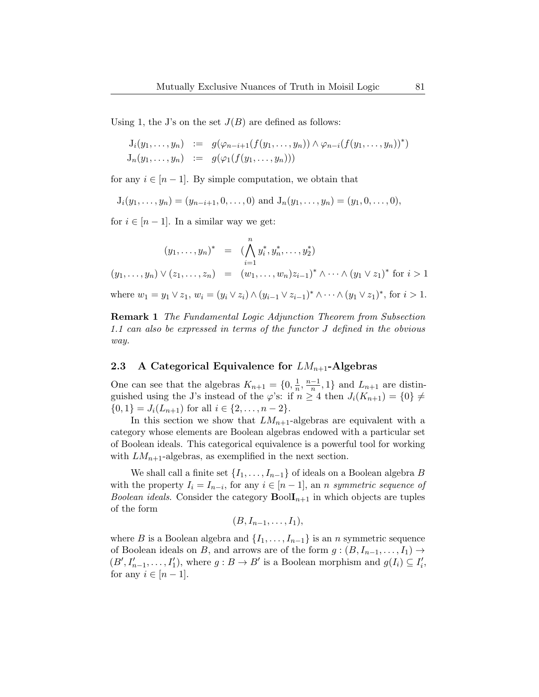Using [1,](#page-8-0) the J's on the set  $J(B)$  are defined as follows:

$$
J_i(y_1,..., y_n) := g(\varphi_{n-i+1}(f(y_1,..., y_n)) \wedge \varphi_{n-i}(f(y_1,..., y_n))^*)
$$
  

$$
J_n(y_1,..., y_n) := g(\varphi_1(f(y_1,..., y_n)))
$$

for any  $i \in [n-1]$ . By simple computation, we obtain that

$$
J_i(y_1,..., y_n) = (y_{n-i+1}, 0,..., 0)
$$
 and  $J_n(y_1,..., y_n) = (y_1, 0,..., 0),$ 

for  $i \in [n-1]$ . In a similar way we get:

$$
(y_1, \ldots, y_n)^* = (\bigwedge_{i=1}^n y_i^*, y_n^*, \ldots, y_2^*)
$$
  
\n
$$
(y_1, \ldots, y_n) \vee (z_1, \ldots, z_n) = (w_1, \ldots, w_n) z_{i-1}^* \wedge \cdots \wedge (y_1 \vee z_1)^* \text{ for } i > 1
$$
  
\nwhere  $w_1 = y_1 \vee z_1, w_i = (y_i \vee z_i) \wedge (y_{i-1} \vee z_{i-1})^* \wedge \cdots \wedge (y_1 \vee z_1)^*, \text{ for } i > 1.$ 

Remark 1 The Fundamental Logic Adjunction Theorem from Subsection [1.1](#page-5-0) can also be expressed in terms of the functor J defined in the obvious way.

### <span id="page-12-0"></span>2.3 A Categorical Equivalence for  $LM_{n+1}$ -Algebras

One can see that the algebras  $K_{n+1} = \{0, \frac{1}{n}\}$  $\frac{1}{n}, \frac{n-1}{n}$  $\frac{-1}{n}$ , 1} and  $L_{n+1}$  are distinguished using the J's instead of the  $\varphi$ 's: if  $n \geq 4$  then  $J_i(K_{n+1}) = \{0\} \neq$  $\{0,1\} = J_i(L_{n+1})$  for all  $i \in \{2,\ldots,n-2\}.$ 

In this section we show that  $LM_{n+1}$ -algebras are equivalent with a category whose elements are Boolean algebras endowed with a particular set of Boolean ideals. This categorical equivalence is a powerful tool for working with  $LM_{n+1}$ -algebras, as exemplified in the next section.

We shall call a finite set  $\{I_1, \ldots, I_{n-1}\}$  of ideals on a Boolean algebra B with the property  $I_i = I_{n-i}$ , for any  $i \in [n-1]$ , an *n symmetric sequence of Boolean ideals.* Consider the category  $\text{BoolI}_{n+1}$  in which objects are tuples of the form

 $(B, I_{n-1}, \ldots, I_1),$ 

where B is a Boolean algebra and  $\{I_1, \ldots, I_{n-1}\}$  is an n symmetric sequence of Boolean ideals on B, and arrows are of the form  $g:(B, I_{n-1}, \ldots, I_1) \rightarrow$  $(B', I'_{n-1}, \ldots, I'_{1}),$  where  $g : B \to B'$  is a Boolean morphism and  $g(I_i) \subseteq I'_{i}$ , for any  $i \in [n-1]$ .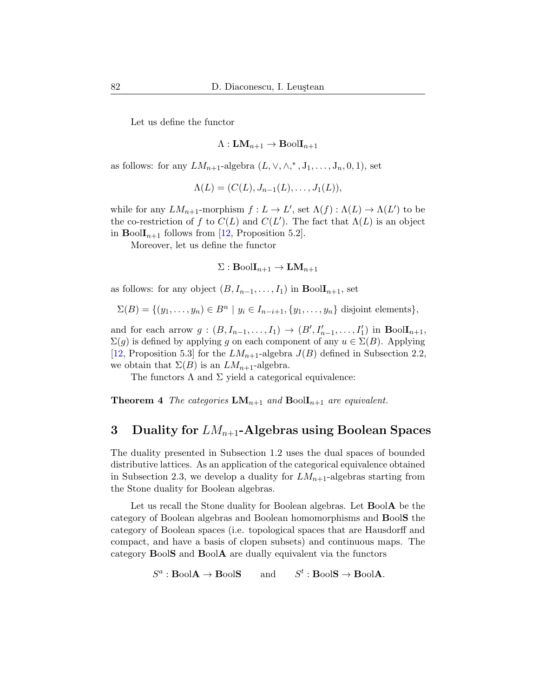Let us define the functor

$$
\Lambda:{\bf LM}_{n+1}\to{\bf B}{\rm{ool}}{\bf I}_{n+1}
$$

as follows: for any  $LM_{n+1}$ -algebra  $(L, \vee, \wedge,^*, J_1, \ldots, J_n, 0, 1)$ , set

$$
\Lambda(L) = (C(L), J_{n-1}(L), \ldots, J_1(L)),
$$

while for any  $LM_{n+1}$ -morphism  $f: L \to L'$ , set  $\Lambda(f): \Lambda(L) \to \Lambda(L')$  to be the co-restriction of f to  $C(L)$  and  $C(L')$ . The fact that  $\Lambda(L)$  is an object in  $\text{BoolI}_{n+1}$  follows from [\[12,](#page-19-9) Proposition 5.2].

Moreover, let us define the functor

$$
\Sigma: \mathbf{BoolI}_{n+1} \to \mathbf{LM}_{n+1}
$$

as follows: for any object  $(B, I_{n-1}, \ldots, I_1)$  in  $\text{BoolI}_{n+1}$ , set

$$
\Sigma(B) = \{ (y_1, \ldots, y_n) \in B^n \mid y_i \in I_{n-i+1}, \{y_1, \ldots, y_n\} \text{ disjoint elements} \},\
$$

and for each arrow  $g: (B, I_{n-1},..., I_1) \to (B', I'_{n-1},..., I'_1)$  in  $\text{BoolI}_{n+1}$ ,  $\Sigma(g)$  is defined by applying g on each component of any  $u \in \Sigma(B)$ . Applying [\[12,](#page-19-9) Proposition 5.3] for the  $LM_{n+1}$ -algebra  $J(B)$  defined in Subsection [2.2,](#page-11-0) we obtain that  $\Sigma(B)$  is an  $LM_{n+1}$ -algebra.

The functors  $\Lambda$  and  $\Sigma$  yield a categorical equivalence:

<span id="page-13-1"></span>**Theorem 4** The categories  $LM_{n+1}$  and  $Bool_{n+1}$  are equivalent.

### <span id="page-13-0"></span>3 Duality for  $LM_{n+1}$ -Algebras using Boolean Spaces

The duality presented in Subsection [1.2](#page-6-0) uses the dual spaces of bounded distributive lattices. As an application of the categorical equivalence obtained in Subsection [2.3,](#page-12-0) we develop a duality for  $LM_{n+1}$ -algebras starting from the Stone duality for Boolean algebras.

Let us recall the Stone duality for Boolean algebras. Let **BoolA** be the category of Boolean algebras and Boolean homomorphisms and BoolS the category of Boolean spaces (i.e. topological spaces that are Hausdorff and compact, and have a basis of clopen subsets) and continuous maps. The category BoolS and BoolA are dually equivalent via the functors

> $S^a$ : **BoolA**  $\rightarrow$  **BoolS** and S  $t : \text{BoolS} \to \text{BoolA}.$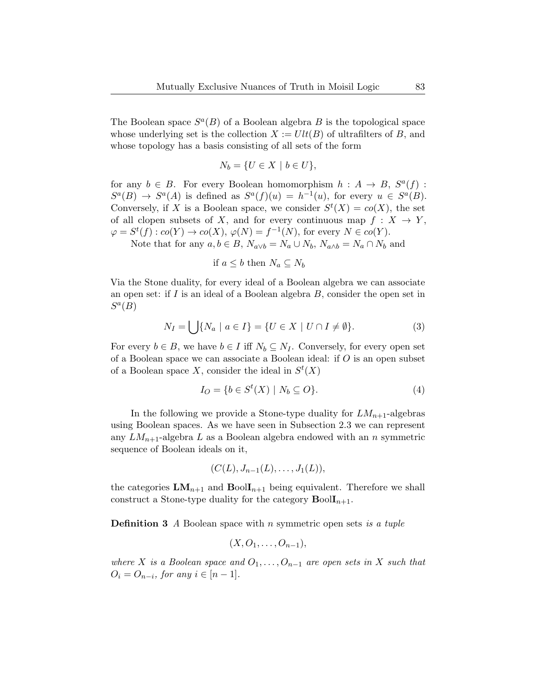The Boolean space  $S^a(B)$  of a Boolean algebra B is the topological space whose underlying set is the collection  $X := Ult(B)$  of ultrafilters of B, and whose topology has a basis consisting of all sets of the form

$$
N_b = \{ U \in X \mid b \in U \},\
$$

for any  $b \in B$ . For every Boolean homomorphism  $h : A \rightarrow B$ ,  $S^{a}(f)$ :  $S^a(B) \to S^a(A)$  is defined as  $S^a(f)(u) = h^{-1}(u)$ , for every  $u \in S^a(B)$ . Conversely, if X is a Boolean space, we consider  $S^t(X) = co(X)$ , the set of all clopen subsets of X, and for every continuous map  $f: X \to Y$ ,  $\varphi = S^t(f) : co(Y) \to co(X), \varphi(N) = f^{-1}(N)$ , for every  $N \in co(Y)$ .

Note that for any  $a, b \in B$ ,  $N_{a \vee b} = N_a \cup N_b$ ,  $N_{a \wedge b} = N_a \cap N_b$  and

if 
$$
a \leq b
$$
 then  $N_a \subseteq N_b$ 

Via the Stone duality, for every ideal of a Boolean algebra we can associate an open set: if  $I$  is an ideal of a Boolean algebra  $B$ , consider the open set in  $S^a(B)$ 

$$
N_I = \bigcup \{ N_a \mid a \in I \} = \{ U \in X \mid U \cap I \neq \emptyset \}. \tag{3}
$$

For every  $b \in B$ , we have  $b \in I$  iff  $N_b \subseteq N_I$ . Conversely, for every open set of a Boolean space we can associate a Boolean ideal: if O is an open subset of a Boolean space X, consider the ideal in  $S^t(X)$ 

$$
I_O = \{ b \in S^t(X) \mid N_b \subseteq O \}. \tag{4}
$$

In the following we provide a Stone-type duality for  $LM_{n+1}$ -algebras using Boolean spaces. As we have seen in Subsection [2.3](#page-12-0) we can represent any  $LM_{n+1}$ -algebra L as a Boolean algebra endowed with an n symmetric sequence of Boolean ideals on it,

$$
(C(L), J_{n-1}(L), \ldots, J_1(L)),
$$

the categories  $LM_{n+1}$  and  $Bool_{n+1}$  being equivalent. Therefore we shall construct a Stone-type duality for the category  $\text{BoolI}_{n+1}$ .

**Definition 3** A Boolean space with n symmetric open sets is a tuple

$$
(X,O_1,\ldots,O_{n-1}),
$$

where X is a Boolean space and  $O_1, \ldots, O_{n-1}$  are open sets in X such that  $O_i = O_{n-i}$ , for any  $i \in [n-1]$ .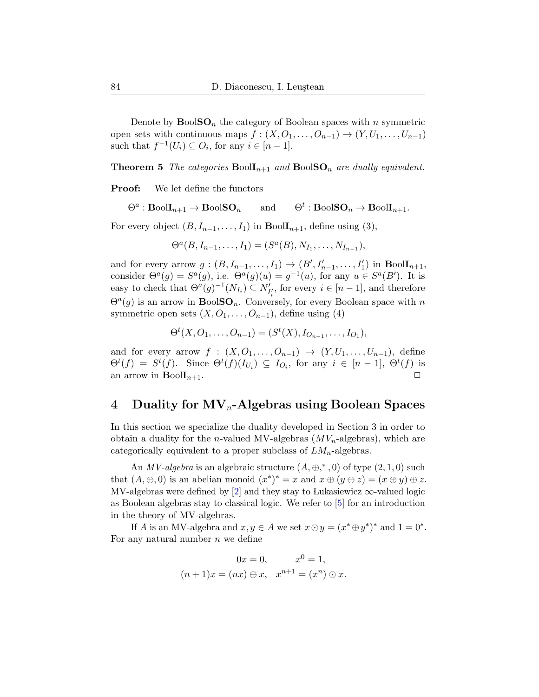Denote by  $\text{BoolSO}_n$  the category of Boolean spaces with n symmetric open sets with continuous maps  $f : (X, O_1, \ldots, O_{n-1}) \to (Y, U_1, \ldots, U_{n-1})$ such that  $f^{-1}(U_i) \subseteq O_i$ , for any  $i \in [n-1]$ .

<span id="page-15-1"></span>**Theorem 5** The categories  $\text{Bool}_{n+1}$  and  $\text{BoolSO}_n$  are dually equivalent.

Proof: We let define the functors

 $\Theta^a: \text{BoolI}_{n+1} \to \text{BoolSO}_n$  and  $\Theta^t$  $\Theta^t: \text{BoolSO}_n \to \text{BoolI}_{n+1}.$ 

For every object  $(B, I_{n-1}, \ldots, I_1)$  in  $\text{BoolI}_{n+1}$ , define using (3),

$$
\Theta^a(B, I_{n-1}, \ldots, I_1) = (S^a(B), N_{I_1}, \ldots, N_{I_{n-1}}),
$$

and for every arrow  $g:(B, I_{n-1},..., I_1) \to (B', I'_{n-1},..., I'_1)$  in  $\text{BoolI}_{n+1}$ , consider  $\Theta^a(g) = S^a(g)$ , i.e.  $\Theta^a(g)(u) = g^{-1}(u)$ , for any  $u \in S^a(B')$ . It is easy to check that  $\Theta^a(g)^{-1}(N_{I_i}) \subseteq N'_{I'_i}$ , for every  $i \in [n-1]$ , and therefore  $\Theta^a(g)$  is an arrow in **BoolSO**<sub>n</sub>. Conversely, for every Boolean space with n symmetric open sets  $(X, O_1, \ldots, O_{n-1})$ , define using (4)

$$
\Theta^t(X, O_1, \dots, O_{n-1}) = (S^t(X), I_{O_{n-1}}, \dots, I_{O_1}),
$$

and for every arrow  $f : (X, O_1, \ldots, O_{n-1}) \rightarrow (Y, U_1, \ldots, U_{n-1}),$  define  $\Theta^t(f) = S^t(f)$ . Since  $\Theta^t(f)(I_{U_i}) \subseteq I_{O_i}$ , for any  $i \in [n-1], \Theta^t(f)$  is an arrow in  $\text{Bool}_{n+1}$ .

## <span id="page-15-0"></span>4 Duality for  $MV_n$ -Algebras using Boolean Spaces

In this section we specialize the duality developed in Section [3](#page-13-0) in order to obtain a duality for the *n*-valued MV-algebras  $(MV_n$ -algebras), which are categorically equivalent to a proper subclass of  $LM_n$ -algebras.

An *MV-algebra* is an algebraic structure  $(A, \oplus, ^*, 0)$  of type  $(2, 1, 0)$  such that  $(A, \oplus, 0)$  is an abelian monoid  $(x^*)^* = x$  and  $x \oplus (y \oplus z) = (x \oplus y) \oplus z$ . MV-algebras were defined by [\[2\]](#page-18-0) and they stay to Lukasiewicz  $\infty$ -valued logic as Boolean algebras stay to classical logic. We refer to [\[5\]](#page-18-7) for an introduction in the theory of MV-algebras.

If A is an MV-algebra and  $x, y \in A$  we set  $x \odot y = (x^* \oplus y^*)^*$  and  $1 = 0^*$ . For any natural number  $n$  we define

$$
0x = 0, \t x0 = 1,(n+1)x = (nx) \oplus x, \t xn+1 = (xn) \odot x.
$$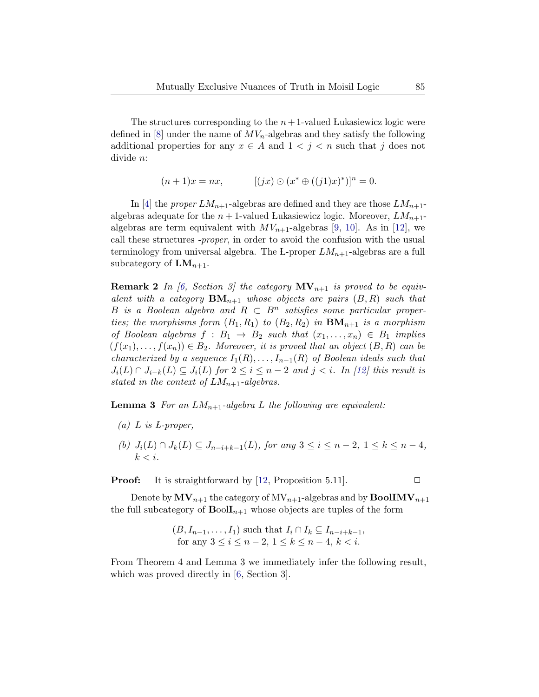The structures corresponding to the  $n+1$ -valued Lukasiewicz logic were defined in  $[8]$  under the name of  $MV_n$ -algebras and they satisfy the following additional properties for any  $x \in A$  and  $1 \leq j \leq n$  such that j does not divide n:

$$
(n+1)x = nx, \qquad [(jx) \odot (x^* \oplus ((j1)x)^*)]^n = 0.
$$

In [\[4\]](#page-18-2) the *proper*  $LM_{n+1}$ -algebras are defined and they are those  $LM_{n+1}$ algebras adequate for the  $n+1$ -valued Lukasiewicz logic. Moreover,  $LM_{n+1}$ algebras are term equivalent with  $MV_{n+1}$ -algebras [\[9,](#page-18-4) [10\]](#page-19-7). As in [\[12\]](#page-19-9), we call these structures -proper, in order to avoid the confusion with the usual terminology from universal algebra. The L-proper  $LM_{n+1}$ -algebras are a full subcategory of  $LM_{n+1}$ .

**Remark 2** In [\[6,](#page-18-8) Section 3] the category  $MV_{n+1}$  is proved to be equivalent with a category  $\mathbf{BM}_{n+1}$  whose objects are pairs  $(B, R)$  such that B is a Boolean algebra and  $R \subset B^n$  satisfies some particular properties; the morphisms form  $(B_1, R_1)$  to  $(B_2, R_2)$  in  $\mathbf{BM}_{n+1}$  is a morphism of Boolean algebras  $f : B_1 \rightarrow B_2$  such that  $(x_1, \ldots, x_n) \in B_1$  implies  $(f(x_1),..., f(x_n)) \in B_2$ . Moreover, it is proved that an object  $(B, R)$  can be characterized by a sequence  $I_1(R), \ldots, I_{n-1}(R)$  of Boolean ideals such that  $J_i(L) \cap J_{i-k}(L) \subseteq J_i(L)$  for  $2 \leq i \leq n-2$  and  $j < i$ . In [\[12\]](#page-19-9) this result is stated in the context of  $LM_{n+1}$ -algebras.

<span id="page-16-0"></span>**Lemma 3** For an  $LM_{n+1}$ -algebra L the following are equivalent:

- (a)  $L$  is  $L$ -proper,
- (b)  $J_i(L) \cap J_k(L) \subseteq J_{n-i+k-1}(L)$ , for any  $3 \leq i \leq n-2$ ,  $1 \leq k \leq n-4$ ,  $k < i$ .

**Proof:** It is straightforward by [\[12,](#page-19-9) Proposition 5.11].  $\Box$ 

Denote by  $MV_{n+1}$  the category of  $MV_{n+1}$ -algebras and by  $\text{BoolIMV}_{n+1}$ the full subcategory of  $\text{BoolI}_{n+1}$  whose objects are tuples of the form

$$
(B, I_{n-1}, \dots, I_1) \text{ such that } I_i \cap I_k \subseteq I_{n-i+k-1},
$$
  
for any  $3 \le i \le n-2, 1 \le k \le n-4, k < i$ .

<span id="page-16-1"></span>From Theorem [4](#page-13-1) and Lemma [3](#page-16-0) we immediately infer the following result, which was proved directly in [\[6,](#page-18-8) Section 3].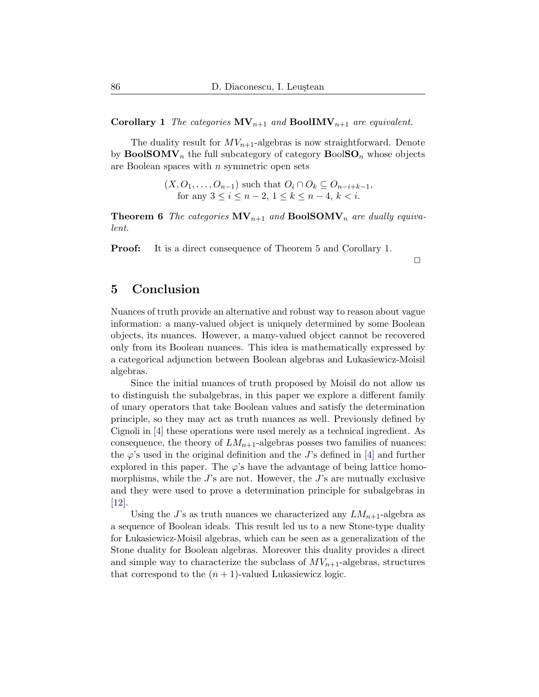**Corollary 1** The categories  $MV_{n+1}$  and  $BoolIMV_{n+1}$  are equivalent.

The duality result for  $MV_{n+1}$ -algebras is now straightforward. Denote by  $\text{BoolSOMV}_n$  the full subcategory of category  $\text{BoolSOL}_n$  whose objects are Boolean spaces with n symmetric open sets

> $(X, O_1, \ldots, O_{n-1})$  such that  $O_i \cap O_k \subseteq O_{n-i+k-1}$ , for any  $3 \le i \le n-2, 1 \le k \le n-4, k < i$ .

**Theorem 6** The categories  $MV_{n+1}$  and  $BoolSOMV_n$  are dually equivalent.

Proof: It is a direct consequence of Theorem [5](#page-15-1) and Corollary [1.](#page-16-1)

 $\Box$ 

## 5 Conclusion

Nuances of truth provide an alternative and robust way to reason about vague information: a many-valued object is uniquely determined by some Boolean objects, its nuances. However, a many-valued object cannot be recovered only from its Boolean nuances. This idea is mathematically expressed by a categorical adjunction between Boolean algebras and Lukasiewicz-Moisil algebras.

Since the initial nuances of truth proposed by Moisil do not allow us to distinguish the subalgebras, in this paper we explore a different family of unary operators that take Boolean values and satisfy the determination principle, so they may act as truth nuances as well. Previously defined by Cignoli in [\[4\]](#page-18-2) these operations were used merely as a technical ingredient. As consequence, the theory of  $LM_{n+1}$ -algebras posses two families of nuances: the  $\varphi$ 's used in the original definition and the J's defined in [\[4\]](#page-18-2) and further explored in this paper. The  $\varphi$ 's have the advantage of being lattice homomorphisms, while the  $J$ 's are not. However, the  $J$ 's are mutually exclusive and they were used to prove a determination principle for subalgebras in [\[12\]](#page-19-9).

Using the J's as truth nuances we characterized any  $LM_{n+1}$ -algebra as a sequence of Boolean ideals. This result led us to a new Stone-type duality for Lukasiewicz-Moisil algebras, which can be seen as a generalization of the Stone duality for Boolean algebras. Moreover this duality provides a direct and simple way to characterize the subclass of  $MV_{n+1}$ -algebras, structures that correspond to the  $(n + 1)$ -valued Lukasiewicz logic.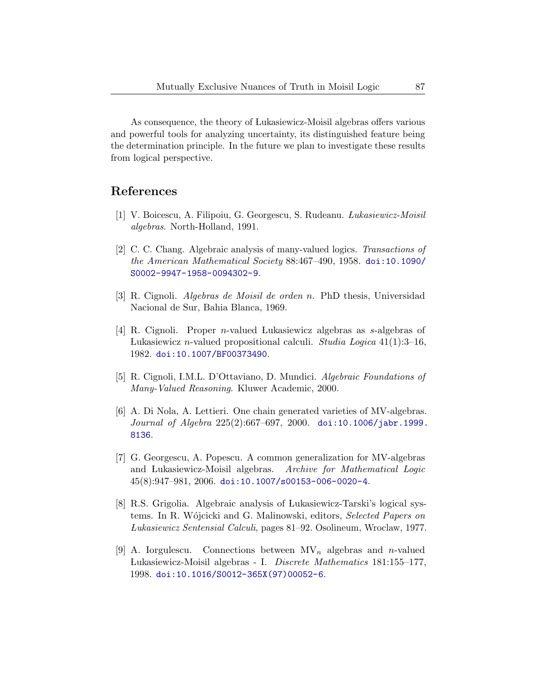As consequence, the theory of Lukasiewicz-Moisil algebras offers various and powerful tools for analyzing uncertainty, its distinguished feature being the determination principle. In the future we plan to investigate these results from logical perspective.

### References

- <span id="page-18-1"></span>[1] V. Boicescu, A. Filipoiu, G. Georgescu, S. Rudeanu. Lukasiewicz-Moisil algebras. North-Holland, 1991.
- <span id="page-18-0"></span>[2] C. C. Chang. Algebraic analysis of many-valued logics. Transactions of the American Mathematical Society 88:467–490, 1958. [doi:10.1090/](http://dx.doi.org/10.1090/S0002-9947-1958-0094302-9) [S0002-9947-1958-0094302-9](http://dx.doi.org/10.1090/S0002-9947-1958-0094302-9).
- <span id="page-18-6"></span>[3] R. Cignoli. Algebras de Moisil de orden n. PhD thesis, Universidad Nacional de Sur, Bahia Blanca, 1969.
- <span id="page-18-2"></span>[4] R. Cignoli. Proper n-valued Lukasiewicz algebras as s-algebras of Lukasiewicz *n*-valued propositional calculi. Studia Logica  $41(1):3-16$ , 1982. [doi:10.1007/BF00373490](http://dx.doi.org/10.1007/BF00373490).
- <span id="page-18-7"></span>[5] R. Cignoli, I.M.L. D'Ottaviano, D. Mundici. Algebraic Foundations of Many-Valued Reasoning. Kluwer Academic, 2000.
- <span id="page-18-8"></span>[6] A. Di Nola, A. Lettieri. One chain generated varieties of MV-algebras. Journal of Algebra 225(2):667–697, 2000. [doi:10.1006/jabr.1999.](http://dx.doi.org/10.1006/jabr.1999.8136) [8136](http://dx.doi.org/10.1006/jabr.1999.8136).
- <span id="page-18-5"></span>[7] G. Georgescu, A. Popescu. A common generalization for MV-algebras and Lukasiewicz-Moisil algebras. Archive for Mathematical Logic  $45(8):947-981, 2006.$  [doi:10.1007/s00153-006-0020-4](http://dx.doi.org/10.1007/s00153-006-0020-4).
- <span id="page-18-3"></span>[8] R.S. Grigolia. Algebraic analysis of Lukasiewicz-Tarski's logical systems. In R. Wójcicki and G. Malinowski, editors, *Selected Papers on* Lukasiewicz Sentensial Calculi, pages 81–92. Osolineum, Wroclaw, 1977.
- <span id="page-18-4"></span>[9] A. Iorgulescu. Connections between  $MV_n$  algebras and *n*-valued Lukasiewicz-Moisil algebras - I. Discrete Mathematics 181:155–177, 1998. [doi:10.1016/S0012-365X\(97\)00052-6](http://dx.doi.org/10.1016/S0012-365X(97)00052-6).